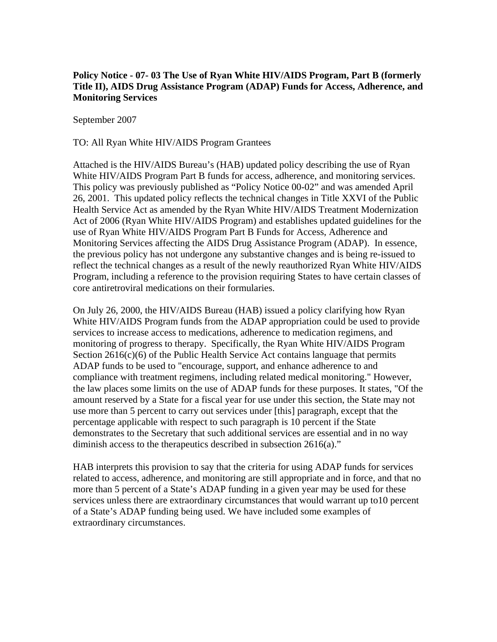## **Policy Notice - 07- 03 The Use of Ryan White HIV/AIDS Program, Part B (formerly Title II), AIDS Drug Assistance Program (ADAP) Funds for Access, Adherence, and Monitoring Services**

September 2007

TO: All Ryan White HIV/AIDS Program Grantees

Attached is the HIV/AIDS Bureau's (HAB) updated policy describing the use of Ryan White HIV/AIDS Program Part B funds for access, adherence, and monitoring services. This policy was previously published as "Policy Notice 00-02" and was amended April 26, 2001. This updated policy reflects the technical changes in Title XXVI of the Public Health Service Act as amended by the Ryan White HIV/AIDS Treatment Modernization Act of 2006 (Ryan White HIV/AIDS Program) and establishes updated guidelines for the use of Ryan White HIV/AIDS Program Part B Funds for Access, Adherence and Monitoring Services affecting the AIDS Drug Assistance Program (ADAP). In essence, the previous policy has not undergone any substantive changes and is being re-issued to reflect the technical changes as a result of the newly reauthorized Ryan White HIV/AIDS Program, including a reference to the provision requiring States to have certain classes of core antiretroviral medications on their formularies.

On July 26, 2000, the HIV/AIDS Bureau (HAB) issued a policy clarifying how Ryan White HIV/AIDS Program funds from the ADAP appropriation could be used to provide services to increase access to medications, adherence to medication regimens, and monitoring of progress to therapy. Specifically, the Ryan White HIV/AIDS Program Section 2616(c)(6) of the Public Health Service Act contains language that permits ADAP funds to be used to "encourage, support, and enhance adherence to and compliance with treatment regimens, including related medical monitoring." However, the law places some limits on the use of ADAP funds for these purposes. It states, "Of the amount reserved by a State for a fiscal year for use under this section, the State may not use more than 5 percent to carry out services under [this] paragraph, except that the percentage applicable with respect to such paragraph is 10 percent if the State demonstrates to the Secretary that such additional services are essential and in no way diminish access to the therapeutics described in subsection 2616(a)."

HAB interprets this provision to say that the criteria for using ADAP funds for services related to access, adherence, and monitoring are still appropriate and in force, and that no more than 5 percent of a State's ADAP funding in a given year may be used for these services unless there are extraordinary circumstances that would warrant up to10 percent of a State's ADAP funding being used. We have included some examples of extraordinary circumstances.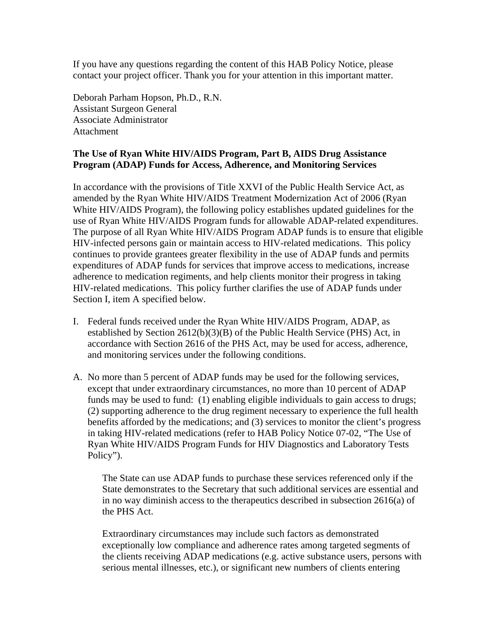If you have any questions regarding the content of this HAB Policy Notice, please contact your project officer. Thank you for your attention in this important matter.

Deborah Parham Hopson, Ph.D., R.N. Assistant Surgeon General Associate Administrator **Attachment** 

## **The Use of Ryan White HIV/AIDS Program, Part B, AIDS Drug Assistance Program (ADAP) Funds for Access, Adherence, and Monitoring Services**

In accordance with the provisions of Title XXVI of the Public Health Service Act, as amended by the Ryan White HIV/AIDS Treatment Modernization Act of 2006 (Ryan White HIV/AIDS Program), the following policy establishes updated guidelines for the use of Ryan White HIV/AIDS Program funds for allowable ADAP-related expenditures. The purpose of all Ryan White HIV/AIDS Program ADAP funds is to ensure that eligible HIV-infected persons gain or maintain access to HIV-related medications. This policy continues to provide grantees greater flexibility in the use of ADAP funds and permits expenditures of ADAP funds for services that improve access to medications, increase adherence to medication regiments, and help clients monitor their progress in taking HIV-related medications. This policy further clarifies the use of ADAP funds under Section I, item A specified below.

- I. Federal funds received under the Ryan White HIV/AIDS Program, ADAP, as established by Section 2612(b)(3)(B) of the Public Health Service (PHS) Act, in accordance with Section 2616 of the PHS Act, may be used for access, adherence, and monitoring services under the following conditions.
- A. No more than 5 percent of ADAP funds may be used for the following services, except that under extraordinary circumstances, no more than 10 percent of ADAP funds may be used to fund: (1) enabling eligible individuals to gain access to drugs; (2) supporting adherence to the drug regiment necessary to experience the full health benefits afforded by the medications; and (3) services to monitor the client's progress in taking HIV-related medications (refer to HAB Policy Notice 07-02, "The Use of Ryan White HIV/AIDS Program Funds for HIV Diagnostics and Laboratory Tests Policy").

The State can use ADAP funds to purchase these services referenced only if the State demonstrates to the Secretary that such additional services are essential and in no way diminish access to the therapeutics described in subsection 2616(a) of the PHS Act.

Extraordinary circumstances may include such factors as demonstrated exceptionally low compliance and adherence rates among targeted segments of the clients receiving ADAP medications (e.g. active substance users, persons with serious mental illnesses, etc.), or significant new numbers of clients entering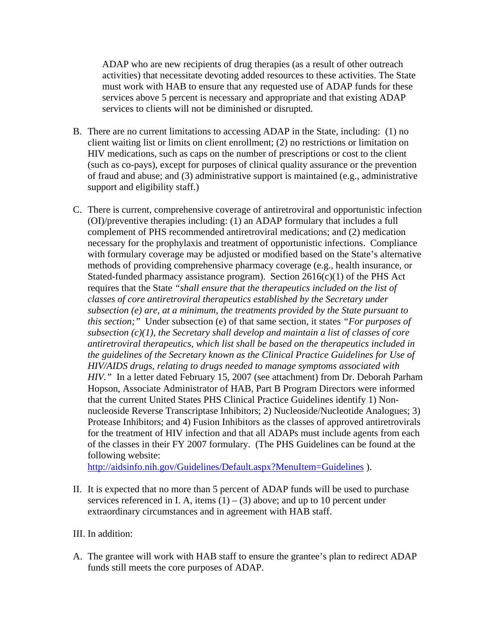ADAP who are new recipients of drug therapies (as a result of other outreach activities) that necessitate devoting added resources to these activities. The State must work with HAB to ensure that any requested use of ADAP funds for these services above 5 percent is necessary and appropriate and that existing ADAP services to clients will not be diminished or disrupted.

- B. There are no current limitations to accessing ADAP in the State, including: (1) no client waiting list or limits on client enrollment; (2) no restrictions or limitation on HIV medications, such as caps on the number of prescriptions or cost to the client (such as co-pays), except for purposes of clinical quality assurance or the prevention of fraud and abuse; and (3) administrative support is maintained (e.g., administrative support and eligibility staff.)
- C. There is current, comprehensive coverage of antiretroviral and opportunistic infection (OI)/preventive therapies including: (1) an ADAP formulary that includes a full complement of PHS recommended antiretroviral medications; and (2) medication necessary for the prophylaxis and treatment of opportunistic infections. Compliance with formulary coverage may be adjusted or modified based on the State's alternative methods of providing comprehensive pharmacy coverage (e.g., health insurance, or Stated-funded pharmacy assistance program). Section  $2616(c)(1)$  of the PHS Act requires that the State *"shall ensure that the therapeutics included on the list of classes of core antiretroviral therapeutics established by the Secretary under subsection (e) are, at a minimum, the treatments provided by the State pursuant to this section;"* Under subsection (e) of that same section, it states *"For purposes of subsection (c)(1), the Secretary shall develop and maintain a list of classes of core antiretroviral therapeutics, which list shall be based on the therapeutics included in the guidelines of the Secretary known as the Clinical Practice Guidelines for Use of HIV/AIDS drugs, relating to drugs needed to manage symptoms associated with HIV."* In a letter dated February 15, 2007 (see attachment) from Dr. Deborah Parham Hopson, Associate Administrator of HAB, Part B Program Directors were informed that the current United States PHS Clinical Practice Guidelines identify 1) Nonnucleoside Reverse Transcriptase Inhibitors; 2) Nucleoside/Nucleotide Analogues; 3) Protease Inhibitors; and 4) Fusion Inhibitors as the classes of approved antiretrovirals for the treatment of HIV infection and that all ADAPs must include agents from each of the classes in their FY 2007 formulary. (The PHS Guidelines can be found at the following website:

<http://aidsinfo.nih.gov/Guidelines/Default.aspx?MenuItem=Guidelines> ).

II. It is expected that no more than 5 percent of ADAP funds will be used to purchase services referenced in I. A, items  $(1) - (3)$  above; and up to 10 percent under extraordinary circumstances and in agreement with HAB staff.

## III. In addition:

A. The grantee will work with HAB staff to ensure the grantee's plan to redirect ADAP funds still meets the core purposes of ADAP.